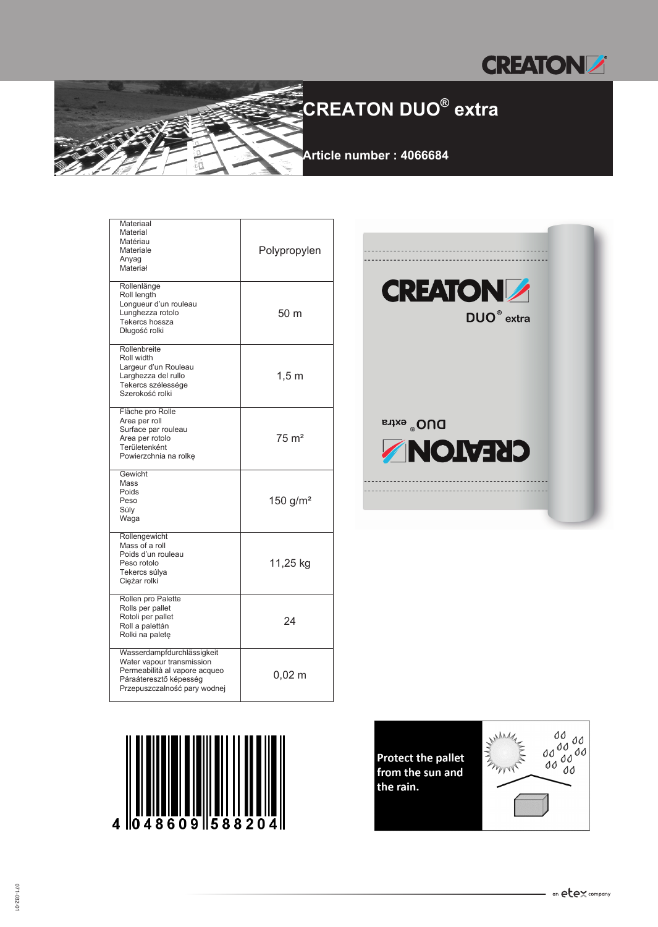

### **CREATON DUO® extra**

**Article number : 4066684**

| Materiaal<br>Material<br>Matériau<br>Materiale<br>Anyag<br>Materiał                                                                                | Polypropylen         |
|----------------------------------------------------------------------------------------------------------------------------------------------------|----------------------|
| Rollenlänge<br>Roll length<br>Longueur d'un rouleau<br>Lunghezza rotolo<br>Tekercs hossza<br>Długość rolki                                         | 50 m                 |
| Rollenbreite<br>Roll width<br>Largeur d'un Rouleau<br>Larghezza del rullo<br>Tekercs szélessége<br>Szerokość rolki                                 | $1,5 \text{ m}$      |
| Fläche pro Rolle<br>Area per roll<br>Surface par rouleau<br>Area per rotolo<br>Területenként<br>Powierzchnia na rolkę                              | $75 \text{ m}^2$     |
| Gewicht<br>Mass<br>Poids<br>Peso<br>Súly<br>Waga                                                                                                   | 150 $g/m^2$          |
| Rollengewicht<br>Mass of a roll<br>Poids d'un rouleau<br>Peso rotolo<br>Tekercs súlya<br>Ciężar rolki                                              | 11,25 kg             |
| Rollen pro Palette<br>Rolls per pallet<br>Rotoli per pallet<br>Roll a palettán<br>Rolki na paletę                                                  | 24                   |
| Wasserdampfdurchlässigkeit<br>Water vapour transmission<br>Permeabilità al vapore acqueo<br>Páraáteresztő képesség<br>Przepuszczalność pary wodnej | $0,02 \; \mathrm{m}$ |







609 588

4